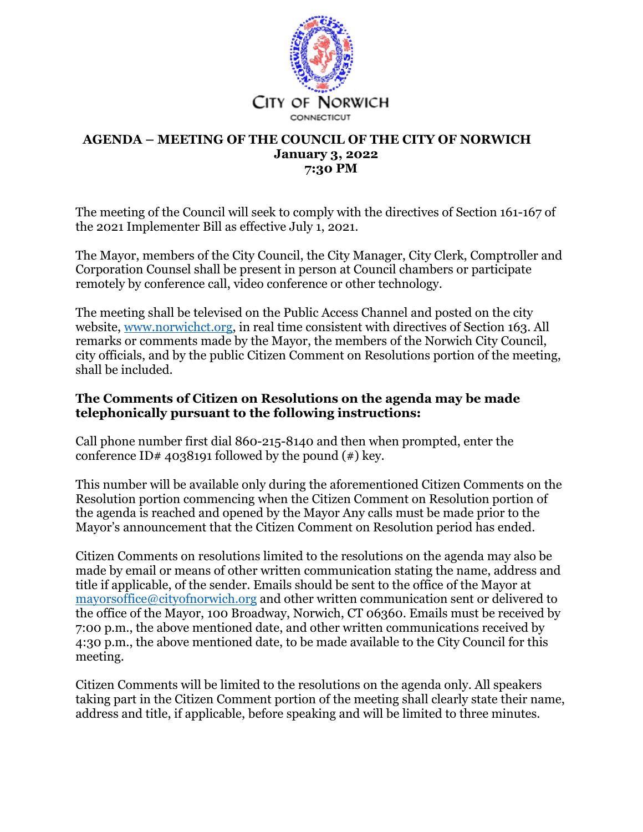

#### **AGENDA – MEETING OF THE COUNCIL OF THE CITY OF NORWICH January 3, 2022 7:30 PM**

The meeting of the Council will seek to comply with the directives of Section 161-167 of the 2021 Implementer Bill as effective July 1, 2021.

The Mayor, members of the City Council, the City Manager, City Clerk, Comptroller and Corporation Counsel shall be present in person at Council chambers or participate remotely by conference call, video conference or other technology.

The meeting shall be televised on the Public Access Channel and posted on the city website, www.norwichct.org, in real time consistent with directives of Section 163. All remarks or comments made by the Mayor, the members of the Norwich City Council, city officials, and by the public Citizen Comment on Resolutions portion of the meeting, shall be included.

#### **The Comments of Citizen on Resolutions on the agenda may be made telephonically pursuant to the following instructions:**

Call phone number first dial 860-215-8140 and then when prompted, enter the conference ID# 4038191 followed by the pound  $(*)$  key.

This number will be available only during the aforementioned Citizen Comments on the Resolution portion commencing when the Citizen Comment on Resolution portion of the agenda is reached and opened by the Mayor Any calls must be made prior to the Mayor's announcement that the Citizen Comment on Resolution period has ended.

Citizen Comments on resolutions limited to the resolutions on the agenda may also be made by email or means of other written communication stating the name, address and title if applicable, of the sender. Emails should be sent to the office of the Mayor at mayorsoffice@cityofnorwich.org and other written communication sent or delivered to the office of the Mayor, 100 Broadway, Norwich, CT 06360. Emails must be received by 7:00 p.m., the above mentioned date, and other written communications received by 4:30 p.m., the above mentioned date, to be made available to the City Council for this meeting.

Citizen Comments will be limited to the resolutions on the agenda only. All speakers taking part in the Citizen Comment portion of the meeting shall clearly state their name, address and title, if applicable, before speaking and will be limited to three minutes.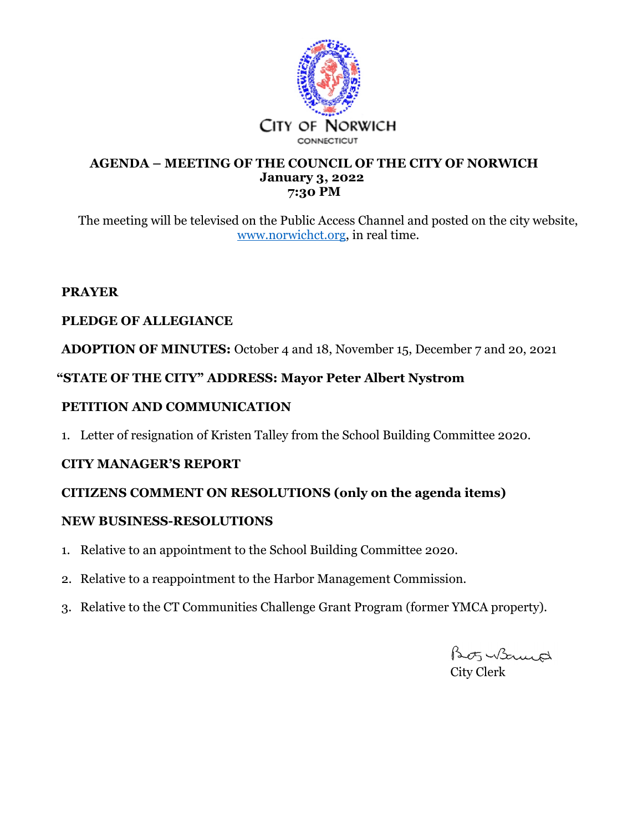

#### **AGENDA – MEETING OF THE COUNCIL OF THE CITY OF NORWICH January 3, 2022 7:30 PM**

The meeting will be televised on the Public Access Channel and posted on the city website, www.norwichct.org, in real time.

### **PRAYER**

# **PLEDGE OF ALLEGIANCE**

**ADOPTION OF MINUTES:** October 4 and 18, November 15, December 7 and 20, 2021

# **"STATE OF THE CITY" ADDRESS: Mayor Peter Albert Nystrom**

# **PETITION AND COMMUNICATION**

1. Letter of resignation of Kristen Talley from the School Building Committee 2020.

# **CITY MANAGER'S REPORT**

# **CITIZENS COMMENT ON RESOLUTIONS (only on the agenda items)**

#### **NEW BUSINESS-RESOLUTIONS**

- 1. Relative to an appointment to the School Building Committee 2020.
- 2. Relative to a reappointment to the Harbor Management Commission.
- 3. Relative to the CT Communities Challenge Grant Program (former YMCA property).

Bots Women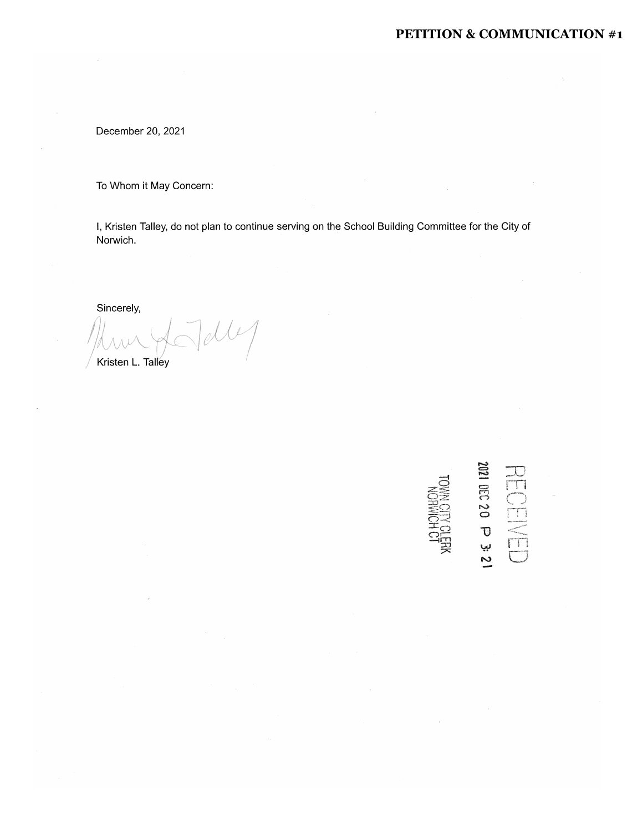#### PETITION & COMMUNICATION #1

December 20, 2021

To Whom it May Concern:

I, Kristen Talley, do not plan to continue serving on the School Building Committee for the City of Norwich.

Sincerely,

 $d\mathcal{U}$ Kristen L. Talley

 $HECCHVED$ <br>
2021  $HCD$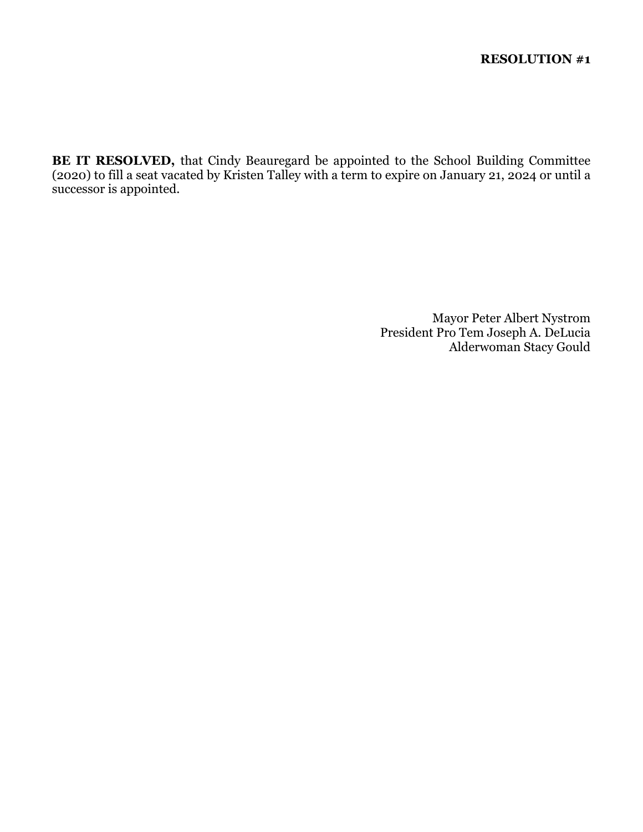**BE IT RESOLVED,** that Cindy Beauregard be appointed to the School Building Committee (2020) to fill a seat vacated by Kristen Talley with a term to expire on January 21, 2024 or until a successor is appointed.

> Mayor Peter Albert Nystrom President Pro Tem Joseph A. DeLucia Alderwoman Stacy Gould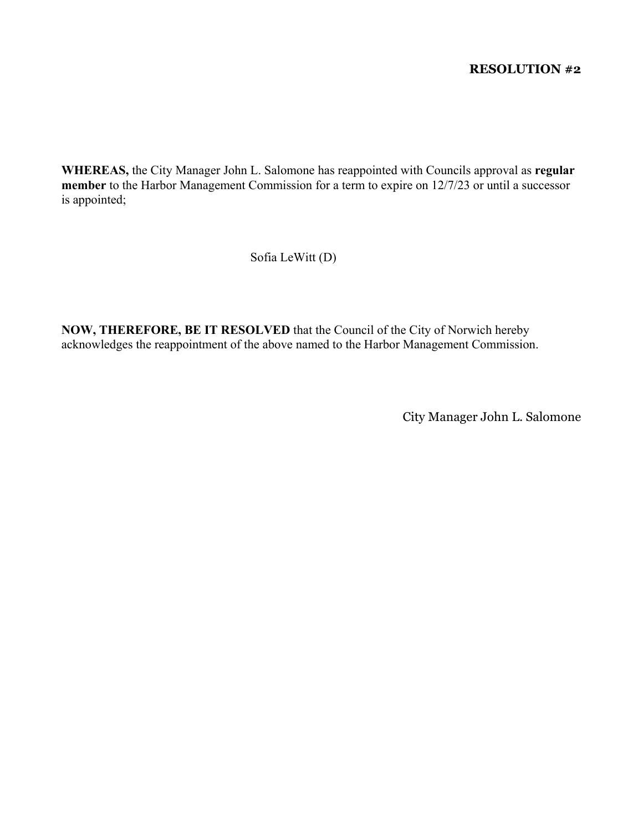#### **RESOLUTION #2**

**WHEREAS,** the City Manager John L. Salomone has reappointed with Councils approval as **regular member** to the Harbor Management Commission for a term to expire on 12/7/23 or until a successor is appointed;

Sofia LeWitt (D)

**NOW, THEREFORE, BE IT RESOLVED** that the Council of the City of Norwich hereby acknowledges the reappointment of the above named to the Harbor Management Commission.

City Manager John L. Salomone